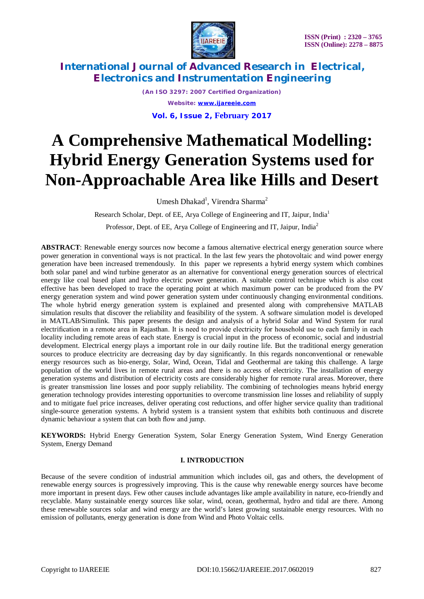

*(An ISO 3297: 2007 Certified Organization) Website: [www.ijareeie.com](http://www.ijareeie.com)* **Vol. 6, Issue 2, February 2017**

# **A Comprehensive Mathematical Modelling: Hybrid Energy Generation Systems used for Non-Approachable Area like Hills and Desert**

Umesh Dhakad<sup>1</sup>, Virendra Sharma<sup>2</sup>

Research Scholar, Dept. of EE, Arya College of Engineering and IT, Jaipur, India<sup>1</sup>

Professor, Dept. of EE, Arya College of Engineering and IT, Jaipur, India<sup>2</sup>

**ABSTRACT**: Renewable energy sources now become a famous alternative electrical energy generation source where power generation in conventional ways is not practical. In the last few years the photovoltaic and wind power energy generation have been increased tremendously. In this paper we represents a hybrid energy system which combines both solar panel and wind turbine generator as an alternative for conventional energy generation sources of electrical energy like coal based plant and hydro electric power generation. A suitable control technique which is also cost effective has been developed to trace the operating point at which maximum power can be produced from the PV energy generation system and wind power generation system under continuously changing environmental conditions. The whole hybrid energy generation system is explained and presented along with comprehensive MATLAB simulation results that discover the reliability and feasibility of the system. A software simulation model is developed in MATLAB/Simulink. This paper presents the design and analysis of a hybrid Solar and Wind System for rural electrification in a remote area in Rajasthan. It is need to provide electricity for household use to each family in each locality including remote areas of each state. Energy is crucial input in the process of economic, social and industrial development. Electrical energy plays a important role in our daily routine life. But the traditional energy generation sources to produce electricity are decreasing day by day significantly. In this regards nonconventional or renewable energy resources such as bio-energy, Solar, Wind, Ocean, Tidal and Geothermal are taking this challenge. A large population of the world lives in remote rural areas and there is no access of electricity. The installation of energy generation systems and distribution of electricity costs are considerably higher for remote rural areas. Moreover, there is greater transmission line losses and poor supply reliability. The combining of technologies means hybrid energy generation technology provides interesting opportunities to overcome transmission line losses and reliability of supply and to mitigate fuel price increases, deliver operating cost reductions, and offer higher service quality than traditional single-source generation systems. A hybrid system is a transient system that exhibits both continuous and discrete dynamic behaviour a system that can both flow and jump.

**KEYWORDS:** Hybrid Energy Generation System, Solar Energy Generation System, Wind Energy Generation System, Energy Demand

### **I. INTRODUCTION**

Because of the severe condition of industrial ammunition which includes oil, gas and others, the development of renewable energy sources is progressively improving. This is the cause why renewable energy sources have become more important in present days. Few other causes include advantages like ample availability in nature, eco-friendly and recyclable. Many sustainable energy sources like solar, wind, ocean, geothermal, hydro and tidal are there. Among these renewable sources solar and wind energy are the world's latest growing sustainable energy resources. With no emission of pollutants, energy generation is done from Wind and Photo Voltaic cells.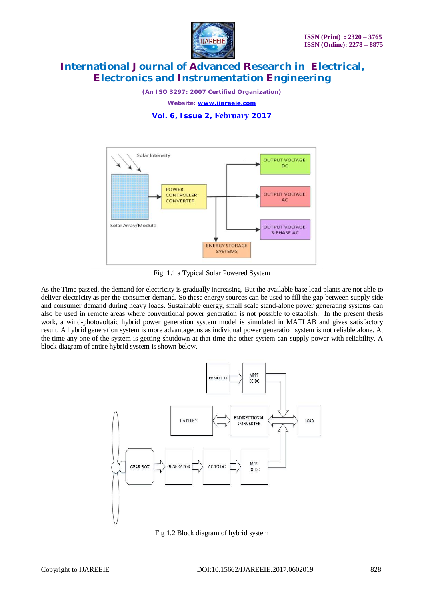

*(An ISO 3297: 2007 Certified Organization)*

*Website: [www.ijareeie.com](http://www.ijareeie.com)*

### **Vol. 6, Issue 2, February 2017**



Fig. 1.1 a Typical Solar Powered System

As the Time passed, the demand for electricity is gradually increasing. But the available base load plants are not able to deliver electricity as per the consumer demand. So these energy sources can be used to fill the gap between supply side and consumer demand during heavy loads. Sustainable energy, small scale stand-alone power generating systems can also be used in remote areas where conventional power generation is not possible to establish. In the present thesis work, a wind-photovoltaic hybrid power generation system model is simulated in MATLAB and gives satisfactory result. A hybrid generation system is more advantageous as individual power generation system is not reliable alone. At the time any one of the system is getting shutdown at that time the other system can supply power with reliability. A block diagram of entire hybrid system is shown below.



Fig 1.2 Block diagram of hybrid system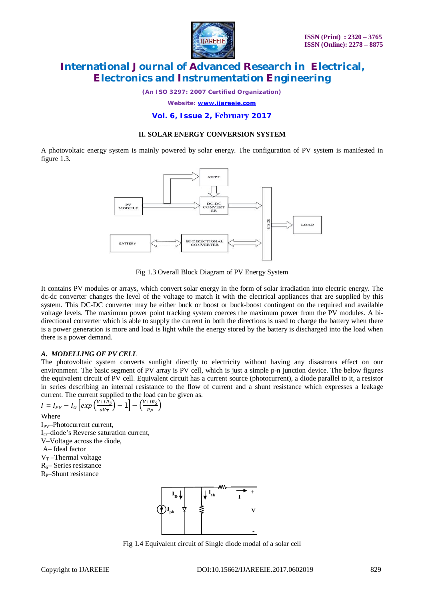

*(An ISO 3297: 2007 Certified Organization)*

*Website: [www.ijareeie.com](http://www.ijareeie.com)*

### **Vol. 6, Issue 2, February 2017**

#### **II. SOLAR ENERGY CONVERSION SYSTEM**

A photovoltaic energy system is mainly powered by solar energy. The configuration of PV system is manifested in figure 1.3.



Fig 1.3 Overall Block Diagram of PV Energy System

It contains PV modules or arrays, which convert solar energy in the form of solar irradiation into electric energy. The dc-dc converter changes the level of the voltage to match it with the electrical appliances that are supplied by this system. This DC-DC converter may be either buck or boost or buck-boost contingent on the required and available voltage levels. The maximum power point tracking system coerces the maximum power from the PV modules. A bidirectional converter which is able to supply the current in both the directions is used to charge the battery when there is a power generation is more and load is light while the energy stored by the battery is discharged into the load when there is a power demand.

### *A. MODELLING OF PV CELL*

The photovoltaic system converts sunlight directly to electricity without having any disastrous effect on our environment. The basic segment of PV array is PV cell, which is just a simple p-n junction device. The below figures the equivalent circuit of PV cell. Equivalent circuit has a current source (photocurrent), a diode parallel to it, a resistor in series describing an internal resistance to the flow of current and a shunt resistance which expresses a leakage current. The current supplied to the load can be given as.

$$
I = I_{PV} - I_0 \left[ exp\left(\frac{v + IR_S}{aV_T}\right) - 1\right] - \left(\frac{v + IR_S}{R_P}\right)
$$

Where

I<sub>PV</sub>-Photocurrent current,  $I_0$ –diode's Reverse saturation current, V–Voltage across the diode, A– Ideal factor  $V_T$ -Thermal voltage  $R_s$ – Series resistance R<sub>p</sub>–Shunt resistance



Fig 1.4 Equivalent circuit of Single diode modal of a solar cell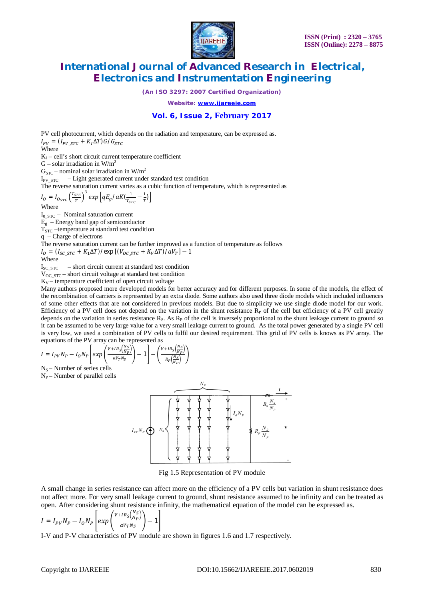

*(An ISO 3297: 2007 Certified Organization)*

*Website: [www.ijareeie.com](http://www.ijareeie.com)*

### **Vol. 6, Issue 2, February 2017**

PV cell photocurrent, which depends on the radiation and temperature, can be expressed as.  $I_{PV} = (I_{PV\_STC} + K_I \Delta T) G / G_{STC}$ Where  $K_I - cell's short circuit current temperature coefficient$ G – solar irradiation in  $W/m^2$  $G<sub>STC</sub>$  – nominal solar irradiation in W/m<sup>2</sup>  $I_{PVSTC}$  – Light generated current under standard test condition The reverse saturation current varies as a cubic function of temperature, which is represented as  $I_O = I_{O_{STC}} \left(\frac{T_{STC}}{T}\right)$  $\left( \frac{\overline{src}}{T} \right)^3 exp\left[ q E_g / a K (\frac{1}{T_{SI}} \right]$  $\frac{1}{T_{STC}} - \frac{1}{T}$  $\frac{1}{T}$ ) Where  $I<sub>0</sub>$  s<sub>TC</sub> – Nominal saturation current  $\overline{E_g}$  – Energy band gap of semiconductor  $T_{STC}$  –temperature at standard test condition q – Charge of electrons The reverse saturation current can be further improved as a function of temperature as follows  $I_0 = (I_{SC\_STC} + K_1 \Delta T)/\exp[(V_{OC\_STC} + K_V \Delta T)/\omega_T] - 1$ Where  $I_{SCSTC}$  – short circuit current at standard test condition  $V_{OC\_STC}$  – short circuit voltage at standard test condition  $K_V$  – temperature coefficient of open circuit voltage Many authors proposed more developed models for better accuracy and for different purposes. In some of the models, the effect of

the recombination of carriers is represented by an extra diode. Some authors also used three diode models which included influences of some other effects that are not considered in previous models. But due to simplicity we use single diode model for our work. Efficiency of a PV cell does not depend on the variation in the shunt resistance  $R<sub>P</sub>$  of the cell but efficiency of a PV cell greatly depends on the variation in series resistance  $R_S$ . As  $R_P$  of the cell is inversely proportional to the shunt leakage current to ground so it can be assumed to be very large value for a very small leakage current to ground. As the total power generated by a single PV cell is very low, we used a combination of PV cells to fulfil our desired requirement. This grid of PV cells is knows as PV array. The equations of the PV array can be represented as

$$
I = I_{PV}N_P - I_0N_P \left[ exp\left(\frac{v + IR_S\left(\frac{N_S}{N_P}\right)}{aV_TN_S}\right) - 1\right] - \left(\frac{v + IR_S\left(\frac{N_S}{N_P}\right)}{R_P\left(\frac{N_S}{N_P}\right)}\right)
$$

 $N<sub>S</sub>$  – Number of series cells

 $N_P$  – Number of parallel cells



Fig 1.5 Representation of PV module

A small change in series resistance can affect more on the efficiency of a PV cells but variation in shunt resistance does not affect more. For very small leakage current to ground, shunt resistance assumed to be infinity and can be treated as open. After considering shunt resistance infinity, the mathematical equation of the model can be expressed as.

$$
I = I_{PV}N_P - I_0N_P \left[ exp \left( \frac{v + IR_S \left( \frac{N_S}{N_P} \right)}{aV_T N_S} \right) - 1 \right]
$$

I-V and P-V characteristics of PV module are shown in figures 1.6 and 1.7 respectively.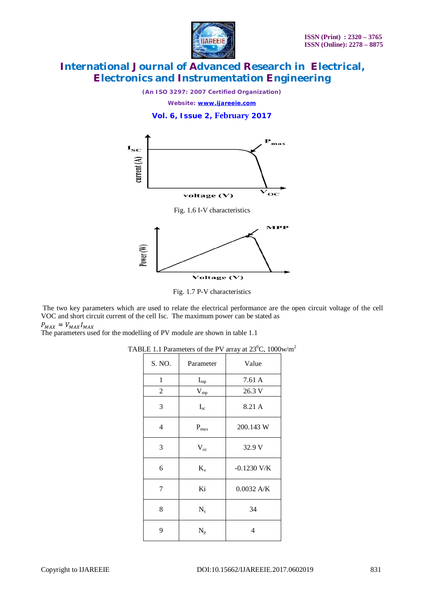

*(An ISO 3297: 2007 Certified Organization)*

*Website: [www.ijareeie.com](http://www.ijareeie.com)*

**Vol. 6, Issue 2, February 2017**





Fig. 1.7 P-V characteristics

The two key parameters which are used to relate the electrical performance are the open circuit voltage of the cell VOC and short circuit current of the cell Isc. The maximum power can be stated as  $P_{MAX} = V_{MAX}I_{MAX}$ 

The parameters used for the modelling of PV module are shown in table 1.1

| S. NO.       | Parameter    | Value         |
|--------------|--------------|---------------|
| $\mathbf{1}$ | $I_{mp}$     | 7.61 A        |
| 2            | $\rm V_{mp}$ | 26.3 V        |
| 3            | $I_{sc}$     | 8.21 A        |
| 4            | $P_{max}$    | 200.143 W     |
| 3            | $V_{oc}$     | 32.9 V        |
| 6            | $K_v$        | $-0.1230$ V/K |
| 7            | Ki           | 0.0032 A/K    |
| 8            | $N_{s}$      | 34            |
| 9            | $N_p$        | 4             |

TABLE 1.1 Parameters of the PV array at  $23^{\circ}$ C, 1000w/m<sup>2</sup>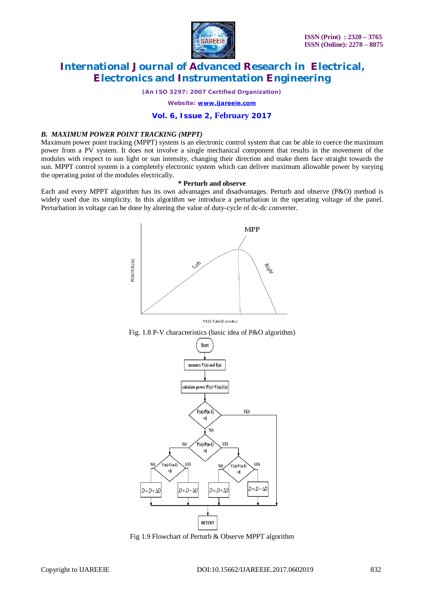

*(An ISO 3297: 2007 Certified Organization)*

*Website: [www.ijareeie.com](http://www.ijareeie.com)*

### **Vol. 6, Issue 2, February 2017**

#### *B. MAXIMUM POWER POINT TRACKING (MPPT)*

Maximum power point tracking (MPPT) system is an electronic control system that can be able to coerce the maximum power from a PV system. It does not involve a single mechanical component that results in the movement of the modules with respect to sun light or sun intensity, changing their direction and make them face straight towards the sun. MPPT control system is a completely electronic system which can deliver maximum allowable power by varying the operating point of the modules electrically.

#### **\* Perturb and observe**

Each and every MPPT algorithm has its own advantages and disadvantages. Perturb and observe (P&O) method is widely used due its simplicity. In this algorithm we introduce a perturbation in the operating voltage of the panel. Perturbation in voltage can be done by altering the value of duty-cycle of dc-dc converter.



VOLTAGE (volts)





Fig 1.9 Flowchart of Perturb & Observe MPPT algorithm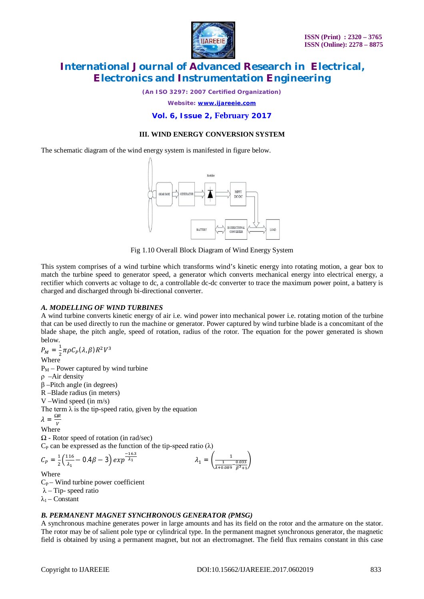

*(An ISO 3297: 2007 Certified Organization)*

*Website: [www.ijareeie.com](http://www.ijareeie.com)*

### **Vol. 6, Issue 2, February 2017**

### **III. WIND ENERGY CONVERSION SYSTEM**

The schematic diagram of the wind energy system is manifested in figure below.



Fig 1.10 Overall Block Diagram of Wind Energy System

This system comprises of a wind turbine which transforms wind's kinetic energy into rotating motion, a gear box to match the turbine speed to generator speed, a generator which converts mechanical energy into electrical energy, a rectifier which converts ac voltage to dc, a controllable dc-dc converter to trace the maximum power point, a battery is charged and discharged through bi-directional converter.

#### *A. MODELLING OF WIND TURBINES*

A wind turbine converts kinetic energy of air i.e. wind power into mechanical power i.e. rotating motion of the turbine that can be used directly to run the machine or generator. Power captured by wind turbine blade is a concomitant of the blade shape, the pitch angle, speed of rotation, radius of the rotor. The equation for the power generated is shown below.

$$
P_M = \frac{1}{2} \pi \rho C_P (\lambda, \beta) R^2 V^3
$$
  
Where  
P<sub>M</sub> – Power captured by wind turbine  
 $\rho$  –Air density  
 $\beta$  –Pitch angle (in degrees)  
R –Blade radius (in meters)  
V – Wind speed (in m/s)  
The term  $\lambda$  is the tip-speed ratio, given by the equation  

$$
\lambda = \frac{\Omega R}{V}
$$
  
Where  
 $\Omega$  - Rotor speed of rotation (in rad/sec)  
 $C_P$  can be expressed as the function of the tip-speed ratio ( $\lambda$ )  
 $C_P = \frac{1}{2} (\frac{116}{\lambda_1} - 0.4\beta - 3) exp^{-\frac{16.3}{\lambda_1}}$ 
$$
\lambda_1 = (\frac{1}{\frac{1}{\lambda_1 0.089} \frac{0.033}{\beta^3 + 1}})
$$
  
Where  
 $C_P$ – Wind turbine power coefficient

 $λ$  – Tip- speed ratio

 $\lambda_1$  – Constant

#### *B. PERMANENT MAGNET SYNCHRONOUS GENERATOR (PMSG)*

A synchronous machine generates power in large amounts and has its field on the rotor and the armature on the stator. The rotor may be of salient pole type or cylindrical type. In the permanent magnet synchronous generator, the magnetic field is obtained by using a permanent magnet, but not an electromagnet. The field flux remains constant in this case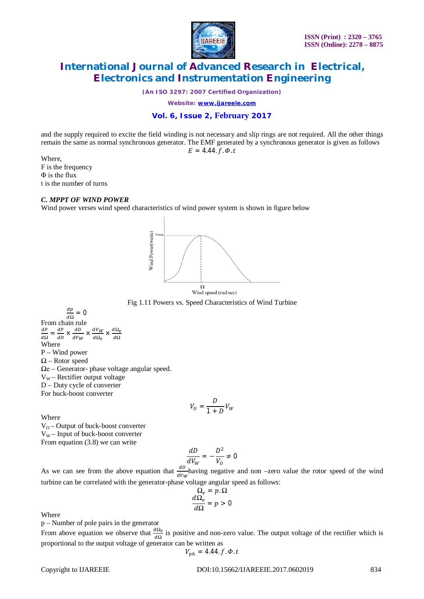

*(An ISO 3297: 2007 Certified Organization)*

*Website: [www.ijareeie.com](http://www.ijareeie.com)*

### **Vol. 6, Issue 2, February 2017**

and the supply required to excite the field winding is not necessary and slip rings are not required. All the other things remain the same as normal synchronous generator. The EMF generated by a synchronous generator is given as follows

$$
E=4.44. f.\phi.t
$$

Where, F is the frequency Φ is the flux t is the number of turns

#### *C. MPPT OF WIND POWER*

Wind power verses wind speed characteristics of wind power system is shown in figure below





 $\frac{dp}{d\Omega} = 0$  $\overline{d\Omega}$ From chain rule ௗ  $rac{dP}{d\Omega} = \frac{dP}{dD}$  $rac{dP}{dD} \times \frac{dD}{dV_W}$  $\frac{dD}{dV_W} \times \frac{dV_W}{d\Omega_e}$  $\frac{u \cdot w}{d\Omega_e} \times$  $d\Omega_e$ ௗ*Ω* Where P – Wind power  $\Omega$  – Rotor speed  $\Omega$ e – Generator- phase voltage angular speed.  $V_W$  – Rectifier output voltage D – Duty cycle of converter For buck-boost converter

$$
V_O = \frac{D}{1+D}V_W
$$

Where

 $V_0$  – Output of buck-boost converter  $V_W$  – Input of buck-boost converter From equation (3.8) we can write

$$
\frac{dD}{dV_W} = -\frac{D^2}{V_O} \neq 0
$$

As we can see from the above equation that  $\frac{dD}{dV_W}$  having negative and non –zero value the rotor speed of the wind turbine can be correlated with the generator-phase voltage angular speed as follows:

$$
\frac{\Omega_e}{d\Omega_e} = p.\Omega
$$

$$
\frac{d\Omega_e}{d\Omega} = p > 0
$$

Where

p – Number of pole pairs in the generator

From above equation we observe that  $\frac{d\Omega_e}{d\Omega}$  is positive and non-zero value. The output voltage of the rectifier which is proportional to the output voltage of generator can be written as

$$
V_{ph} = 4.44. f. \Phi.t
$$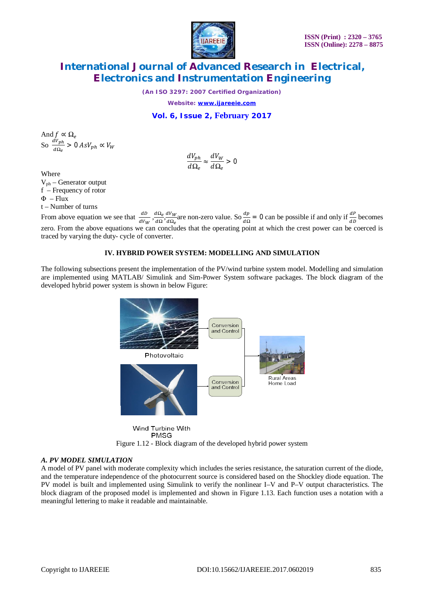

*(An ISO 3297: 2007 Certified Organization)*

*Website: [www.ijareeie.com](http://www.ijareeie.com)*

### **Vol. 6, Issue 2, February 2017**

And  $f \propto \Omega_e$ So  $\frac{dV_{ph}}{d\Omega}$  $\frac{N p h}{d\Omega_e} > 0 AsV_{ph} \propto V_W$ 

$$
\frac{dV_{ph}}{d\Omega_e} \approx \frac{dV_W}{d\Omega_e} > 0
$$

**Where** 

Vph – Generator output f – Frequency of rotor  $\Phi$  – Flux t – Number of turns

From above equation we see that  $\frac{dD}{dV_W}, \frac{d\Omega_e}{d\Omega}$  $rac{dΩ_e}{dΩ}$ ,  $rac{dV_W}{dΩ_e}$  $\frac{dV_W}{d\Omega_e}$  are non-zero value. So  $\frac{dp}{d\Omega} = 0$  can be possible if and only if  $\frac{dP}{dD}$  becomes zero. From the above equations we can concludes that the operating point at which the crest power can be coerced is traced by varying the duty- cycle of converter.

#### **IV. HYBRID POWER SYSTEM: MODELLING AND SIMULATION**

The following subsections present the implementation of the PV/wind turbine system model. Modelling and simulation are implemented using MATLAB/ Simulink and Sim-Power System software packages. The block diagram of the developed hybrid power system is shown in below Figure:



**PMSG** Figure 1.12 - Block diagram of the developed hybrid power system

#### *A. PV MODEL SIMULATION*

A model of PV panel with moderate complexity which includes the series resistance, the saturation current of the diode, and the temperature independence of the photocurrent source is considered based on the Shockley diode equation. The PV model is built and implemented using Simulink to verify the nonlinear I–V and P–V output characteristics. The block diagram of the proposed model is implemented and shown in Figure 1.13. Each function uses a notation with a meaningful lettering to make it readable and maintainable.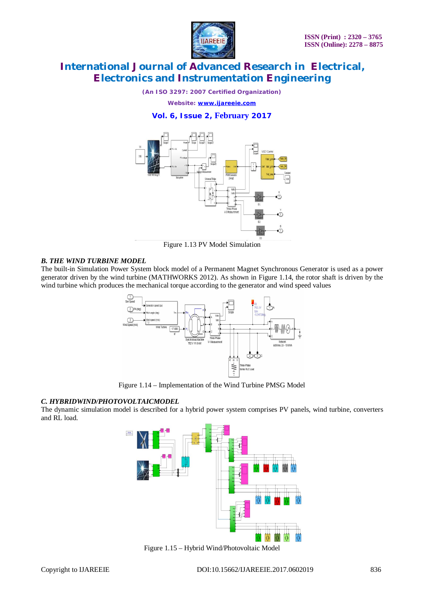

*(An ISO 3297: 2007 Certified Organization)*

*Website: [www.ijareeie.com](http://www.ijareeie.com)*

### **Vol. 6, Issue 2, February 2017**



Figure 1.13 PV Model Simulation

#### *B. THE WIND TURBINE MODEL*

The built-in Simulation Power System block model of a Permanent Magnet Synchronous Generator is used as a power generator driven by the wind turbine (MATHWORKS 2012). As shown in Figure 1.14, the rotor shaft is driven by the wind turbine which produces the mechanical torque according to the generator and wind speed values



Figure 1.14 – Implementation of the Wind Turbine PMSG Model

### *C. HYBRIDWIND/PHOTOVOLTAICMODEL*

The dynamic simulation model is described for a hybrid power system comprises PV panels, wind turbine, converters and RL load.



Figure 1.15 – Hybrid Wind/Photovoltaic Model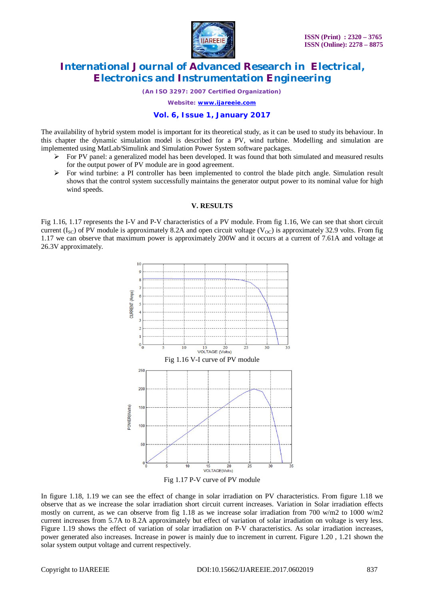

*(An ISO 3297: 2007 Certified Organization)*

*Website: [www.ijareeie.com](http://www.ijareeie.com)*

#### **Vol. 6, Issue 1, January 2017**

The availability of hybrid system model is important for its theoretical study, as it can be used to study its behaviour. In this chapter the dynamic simulation model is described for a PV, wind turbine. Modelling and simulation are implemented using MatLab/Simulink and Simulation Power System software packages.

- $\triangleright$  For PV panel: a generalized model has been developed. It was found that both simulated and measured results for the output power of PV module are in good agreement.
- $\triangleright$  For wind turbine: a PI controller has been implemented to control the blade pitch angle. Simulation result shows that the control system successfully maintains the generator output power to its nominal value for high wind speeds.

#### **V. RESULTS**

Fig 1.16, 1.17 represents the I-V and P-V characteristics of a PV module. From fig 1.16, We can see that short circuit current (I<sub>SC</sub>) of PV module is approximately 8.2A and open circuit voltage (V<sub>OC</sub>) is approximately 32.9 volts. From fig 1.17 we can observe that maximum power is approximately 200W and it occurs at a current of 7.61A and voltage at 26.3V approximately.



Fig 1.17 P-V curve of PV module

In figure 1.18, 1.19 we can see the effect of change in solar irradiation on PV characteristics. From figure 1.18 we observe that as we increase the solar irradiation short circuit current increases. Variation in Solar irradiation effects mostly on current, as we can observe from fig 1.18 as we increase solar irradiation from 700 w/m2 to 1000 w/m2 current increases from 5.7A to 8.2A approximately but effect of variation of solar irradiation on voltage is very less. Figure 1.19 shows the effect of variation of solar irradiation on P-V characteristics. As solar irradiation increases, power generated also increases. Increase in power is mainly due to increment in current. Figure 1.20 , 1.21 shown the solar system output voltage and current respectively.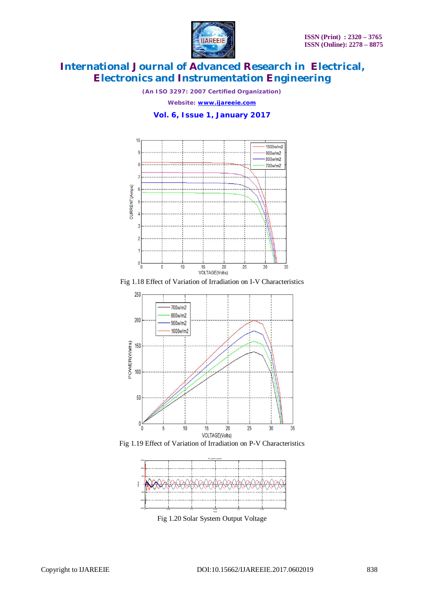

*(An ISO 3297: 2007 Certified Organization)*

*Website: [www.ijareeie.com](http://www.ijareeie.com)*

### **Vol. 6, Issue 1, January 2017**











Fig 1.20 Solar System Output Voltage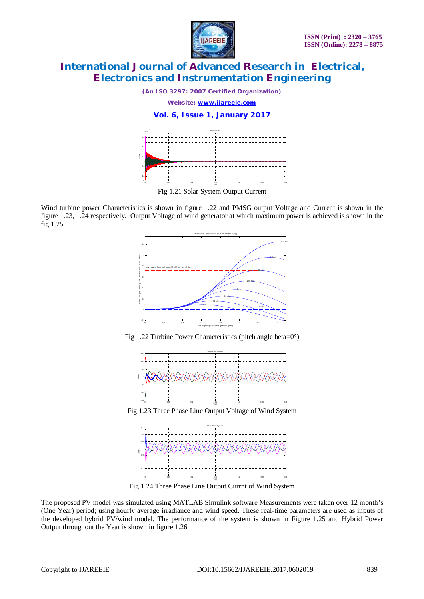

*(An ISO 3297: 2007 Certified Organization)*

*Website: [www.ijareeie.com](http://www.ijareeie.com)*

### **Vol. 6, Issue 1, January 2017**



Fig 1.21 Solar System Output Current

Wind turbine power Characteristics is shown in figure 1.22 and PMSG output Voltage and Current is shown in the figure 1.23, 1.24 respectively. Output Voltage of wind generator at which maximum power is achieved is shown in the fig 1.25.



Fig 1.22 Turbine Power Characteristics (pitch angle beta=0°)



Fig 1.23 Three Phase Line Output Voltage of Wind System



Fig 1.24 Three Phase Line Output Currnt of Wind System

The proposed PV model was simulated using MATLAB Simulink software Measurements were taken over 12 month's (One Year) period; using hourly average irradiance and wind speed. These real-time parameters are used as inputs of the developed hybrid PV/wind model. The performance of the system is shown in Figure 1.25 and Hybrid Power Output throughout the Year is shown in figure 1.26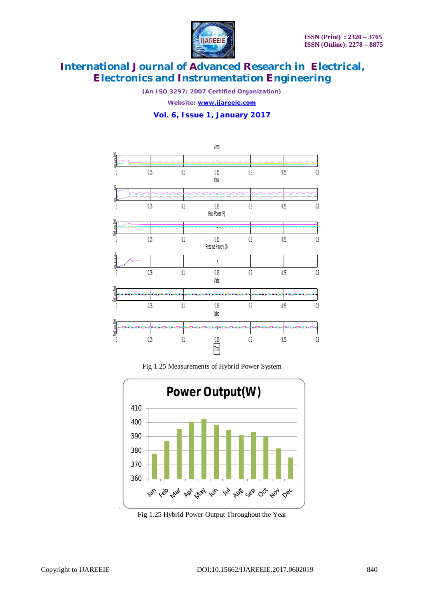

*(An ISO 3297: 2007 Certified Organization)*

*Website: [www.ijareeie.com](http://www.ijareeie.com)*

### **Vol. 6, Issue 1, January 2017**



Fig 1.25 Measurements of Hybrid Power System



Fig 1.25 Hybrid Power Output Throughout the Year

.